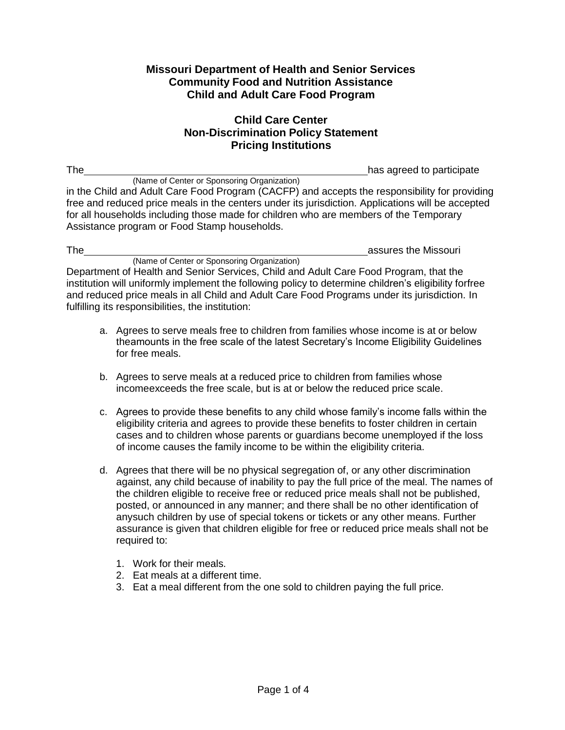## **Missouri Department of Health and Senior Services Community Food and Nutrition Assistance Child and Adult Care Food Program**

## **Child Care Center Non-Discrimination Policy Statement Pricing Institutions**

The has agreed to participate  $h$  has agreed to participate

(Name of Center or Sponsoring Organization) in the Child and Adult Care Food Program (CACFP) and accepts the responsibility for providing free and reduced price meals in the centers under its jurisdiction. Applications will be accepted for all households including those made for children who are members of the Temporary Assistance program or Food Stamp households.

| <b>The</b>                                                                                            | assures the Missouri |
|-------------------------------------------------------------------------------------------------------|----------------------|
| (Name of Center or Sponsoring Organization)                                                           |                      |
| Department of Health and Senior Services, Child and Adult Care Food Program, that the                 |                      |
| institution will uniformly implement the following policy to determine children's eligibility forfree |                      |
| and reduced price meals in all Child and Adult Care Food Programs under its jurisdiction. In          |                      |
| fulfilling its responsibilities, the institution:                                                     |                      |

- a. Agrees to serve meals free to children from families whose income is at or below theamounts in the free scale of the latest Secretary's Income Eligibility Guidelines for free meals.
- b. Agrees to serve meals at a reduced price to children from families whose incomeexceeds the free scale, but is at or below the reduced price scale.
- c. Agrees to provide these benefits to any child whose family's income falls within the eligibility criteria and agrees to provide these benefits to foster children in certain cases and to children whose parents or guardians become unemployed if the loss of income causes the family income to be within the eligibility criteria.
- d. Agrees that there will be no physical segregation of, or any other discrimination against, any child because of inability to pay the full price of the meal. The names of the children eligible to receive free or reduced price meals shall not be published, posted, or announced in any manner; and there shall be no other identification of anysuch children by use of special tokens or tickets or any other means. Further assurance is given that children eligible for free or reduced price meals shall not be required to:
	- 1. Work for their meals.
	- 2. Eat meals at a different time.
	- 3. Eat a meal different from the one sold to children paying the full price.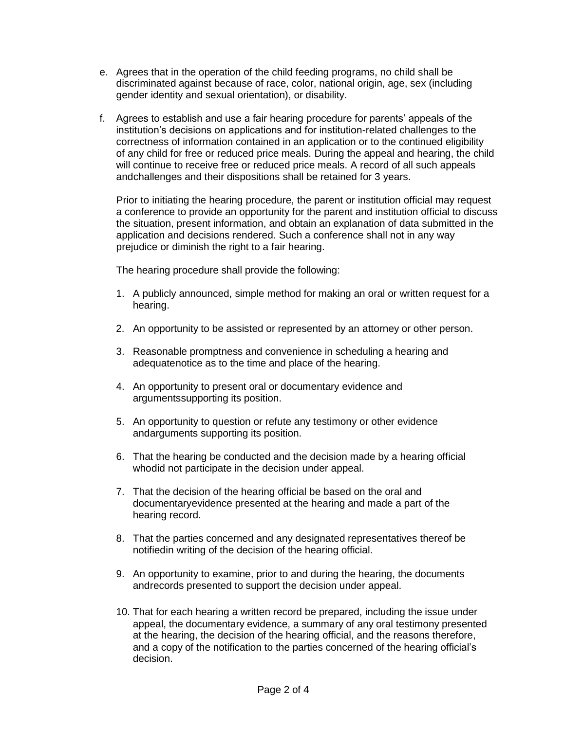- e. Agrees that in the operation of the child feeding programs, no child shall be discriminated against because of race, color, national origin, age, sex (including gender identity and sexual orientation), or disability.
- f. Agrees to establish and use a fair hearing procedure for parents' appeals of the institution's decisions on applications and for institution-related challenges to the correctness of information contained in an application or to the continued eligibility of any child for free or reduced price meals. During the appeal and hearing, the child will continue to receive free or reduced price meals. A record of all such appeals andchallenges and their dispositions shall be retained for 3 years.

Prior to initiating the hearing procedure, the parent or institution official may request a conference to provide an opportunity for the parent and institution official to discuss the situation, present information, and obtain an explanation of data submitted in the application and decisions rendered. Such a conference shall not in any way prejudice or diminish the right to a fair hearing.

The hearing procedure shall provide the following:

- 1. A publicly announced, simple method for making an oral or written request for a hearing.
- 2. An opportunity to be assisted or represented by an attorney or other person.
- 3. Reasonable promptness and convenience in scheduling a hearing and adequatenotice as to the time and place of the hearing.
- 4. An opportunity to present oral or documentary evidence and argumentssupporting its position.
- 5. An opportunity to question or refute any testimony or other evidence andarguments supporting its position.
- 6. That the hearing be conducted and the decision made by a hearing official whodid not participate in the decision under appeal.
- 7. That the decision of the hearing official be based on the oral and documentaryevidence presented at the hearing and made a part of the hearing record.
- 8. That the parties concerned and any designated representatives thereof be notifiedin writing of the decision of the hearing official.
- 9. An opportunity to examine, prior to and during the hearing, the documents andrecords presented to support the decision under appeal.
- 10. That for each hearing a written record be prepared, including the issue under appeal, the documentary evidence, a summary of any oral testimony presented at the hearing, the decision of the hearing official, and the reasons therefore, and a copy of the notification to the parties concerned of the hearing official's decision.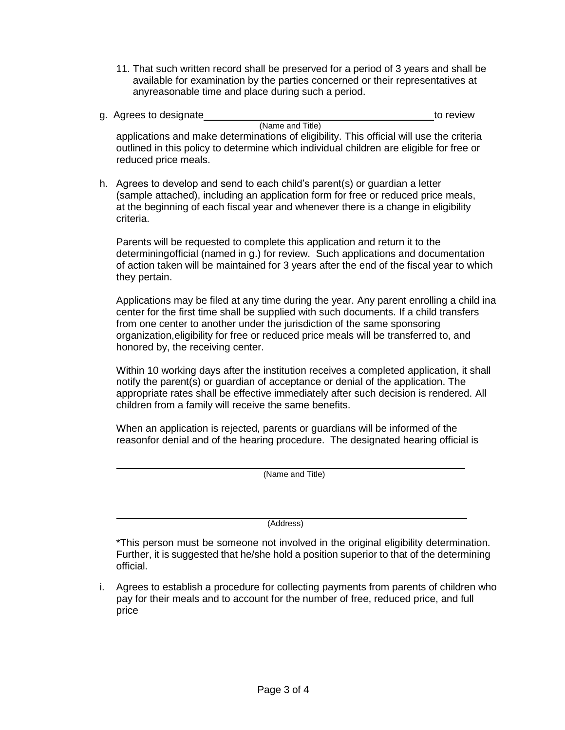- 11. That such written record shall be preserved for a period of 3 years and shall be available for examination by the parties concerned or their representatives at anyreasonable time and place during such a period.
- g. Agrees to designate the set of the set of the set of the set of the set of the set of the set of the set of the set of the set of the set of the set of the set of the set of the set of the set of the set of the set of t (Name and Title) applications and make determinations of eligibility. This official will use the criteria outlined in this policy to determine which individual children are eligible for free or reduced price meals.
- h. Agrees to develop and send to each child's parent(s) or guardian a letter (sample attached), including an application form for free or reduced price meals, at the beginning of each fiscal year and whenever there is a change in eligibility criteria.

Parents will be requested to complete this application and return it to the determiningofficial (named in g.) for review. Such applications and documentation of action taken will be maintained for 3 years after the end of the fiscal year to which they pertain.

Applications may be filed at any time during the year. Any parent enrolling a child ina center for the first time shall be supplied with such documents. If a child transfers from one center to another under the jurisdiction of the same sponsoring organization,eligibility for free or reduced price meals will be transferred to, and honored by, the receiving center.

Within 10 working days after the institution receives a completed application, it shall notify the parent(s) or guardian of acceptance or denial of the application. The appropriate rates shall be effective immediately after such decision is rendered. All children from a family will receive the same benefits.

When an application is rejected, parents or guardians will be informed of the reasonfor denial and of the hearing procedure. The designated hearing official is

(Name and Title)

(Address)

\*This person must be someone not involved in the original eligibility determination. Further, it is suggested that he/she hold a position superior to that of the determining official.

i. Agrees to establish a procedure for collecting payments from parents of children who pay for their meals and to account for the number of free, reduced price, and full price